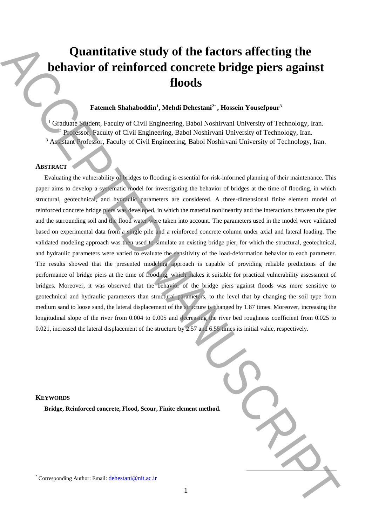# **Quantitative study of the factors affecting the behavior of reinforced concrete bridge piers against floods**

# **Fatemeh Shahaboddin<sup>1</sup> , Mehdi Dehestani<sup>2</sup>**\* **, Hossein Yousefpour<sup>3</sup>**

<sup>1</sup> Graduate Student, Faculty of Civil Engineering, Babol Noshirvani University of Technology, Iran. <sup>2</sup> Professor, Faculty of Civil Engineering, Babol Noshirvani University of Technology, Iran. <sup>3</sup> Assistant Professor, Faculty of Civil Engineering, Babol Noshirvani University of Technology, Iran.

## **ABSTRACT**

Evaluating the vulnerability of bridges to flooding is essential for risk-informed planning of their maintenance. This paper aims to develop a systematic model for investigating the behavior of bridges at the time of flooding, in which structural, geotechnical, and hydraulic parameters are considered. A three-dimensional finite element model of reinforced concrete bridge piers was developed, in which the material nonlinearity and the interactions between the pier and the surrounding soil and the flood water were taken into account. The parameters used in the model were validated based on experimental data from a single pile and a reinforced concrete column under axial and lateral loading. The validated modeling approach was then used to simulate an existing bridge pier, for which the structural, geotechnical, and hydraulic parameters were varied to evaluate the sensitivity of the load-deformation behavior to each parameter. The results showed that the presented modeling approach is capable of providing reliable predictions of the performance of bridge piers at the time of flooding, which makes it suitable for practical vulnerability assessment of bridges. Moreover, it was observed that the behavior of the bridge piers against floods was more sensitive to geotechnical and hydraulic parameters than structural parameters, to the level that by changing the soil type from medium sand to loose sand, the lateral displacement of the structure is changed by 1.87 times. Moreover, increasing the longitudinal slope of the river from 0.004 to 0.005 and decreasing the river bed roughness coefficient from 0.025 to 0.021, increased the lateral displacement of the structure by 2.57 and 6.55 times its initial value, respectively. **Quantifixtive study of the factors affecting the<br>
behavior of reinforced concrete bridge piers against<br>**  $\epsilon$ **<br>
Corresponding Authorities (Corresponding Automatic Automatic Automatic Automatic Automatic Automatic Automatic** 

| ethod. |  |
|--------|--|
|        |  |

### **KEYWORDS**

**Bridge, Reinforced concrete, Flood, Scour, Finite element m**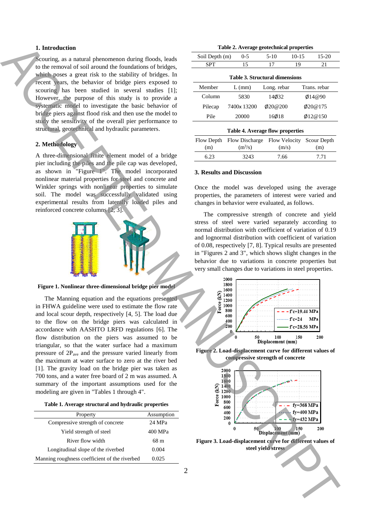### **1. Introduction**

Scouring, as a natural phenomenon during floods, leads to the removal of soil around the foundations of bridges, which poses a great risk to the stability of bridges. In recent years, the behavior of bridge piers exposed to scouring has been studied in several studies [1]; However, the purpose of this study is to provide a systematic model to investigate the basic behavior of bridge piers against flood risk and then use the model to study the sensitivity of the overall pier performance to structural, geotechnical and hydraulic parameters.

# **2. Methodology**

A three-dimensional finite element model of a bridge pier including the piles and the pile cap was developed, as shown in "Figure 1". The model incorporated nonlinear material properties for steel and concrete and Winkler springs with nonlinear properties to simulate soil. The model was successfully validated using experimental results from laterally loaded piles and reinforced concrete columns [2, 3].



**Figure 1. Nonlinear three-dimensional bridge pier model** 

The Manning equation and the equations presented in FHWA guideline were used to estimate the flow rate and local scour depth, respectively [4, 5]. The load due to the flow on the bridge piers was calculated in accordance with AASHTO LRFD regulations [6]. The flow distribution on the piers was assumed to be triangular, so that the water surface had a maximum pressure of  $2P_{ave}$  and the pressure varied linearly from the maximum at water surface to zero at the river bed [1]. The gravity load on the bridge pier was taken as 700 tons, and a water free board of 2 m was assumed. A summary of the important assumptions used for the modeling are given in "Tables 1 through 4". **Function** is a mass photon stress during those is a main of the stress of the stress and the stress and the stress and the stress and the stress and the stress and the stress and the stress and the stress and the stress

|  |  |  | Table 1. Average structural and hydraulic properties |  |  |  |  |
|--|--|--|------------------------------------------------------|--|--|--|--|
|--|--|--|------------------------------------------------------|--|--|--|--|

| Property                                      | Assumption |
|-----------------------------------------------|------------|
| Compressive strength of concrete              | 24 MPa     |
| Yield strength of steel                       | 400 MPa    |
| River flow width                              | 68 m       |
| Longitudinal slope of the riverbed            | 0.004      |
| Manning roughness coefficient of the riverbed | 0.025      |

| $10 - 15$<br>$5-10$<br>$15-20$<br>Soil Depth (m)<br>$0 - 5$ |             |               |    |               |  |
|-------------------------------------------------------------|-------------|---------------|----|---------------|--|
| <b>SPT</b>                                                  | 15          | 17            | 19 | 21            |  |
| <b>Table 3. Structural dimensions</b>                       |             |               |    |               |  |
| Member<br>Trans. rebar<br>Long. rebar<br>$L$ (mm)           |             |               |    |               |  |
| Column                                                      | 5830        | 14032         |    | 0.14@90       |  |
| Pilecap                                                     | 7400x 13200 | $\phi$ 20@200 |    | $\phi$ 20@175 |  |
| Pile                                                        | 20000       | 16018         |    | Ø12@150       |  |

|      | Flow Depth Flow Discharge Flow Velocity Scour Depth |       |      |
|------|-----------------------------------------------------|-------|------|
| (m)  | $(m^3/s)$                                           | (m/s) | (m)  |
| 6.23 | 3243                                                | 7.66  | 7.71 |

#### **3. Results and Discussion**

Once the model was developed using the average properties, the parameters of interest were varied and changes in behavior were evaluated, as follows.

The compressive strength of concrete and yield stress of steel were varied separately according to normal distribution with coefficient of variation of 0.19 and lognormal distribution with coefficient of variation of 0.08, respectively [7, 8]. Typical results are presented in "Figures 2 and 3", which shows slight changes in the behavior due to variations in concrete properties but very small changes due to variations in steel properties.



**Figure 2. Load-displacement curve for different values of compressive strength of concrete**



**Figure 3. Load-displacement curve for different values of**